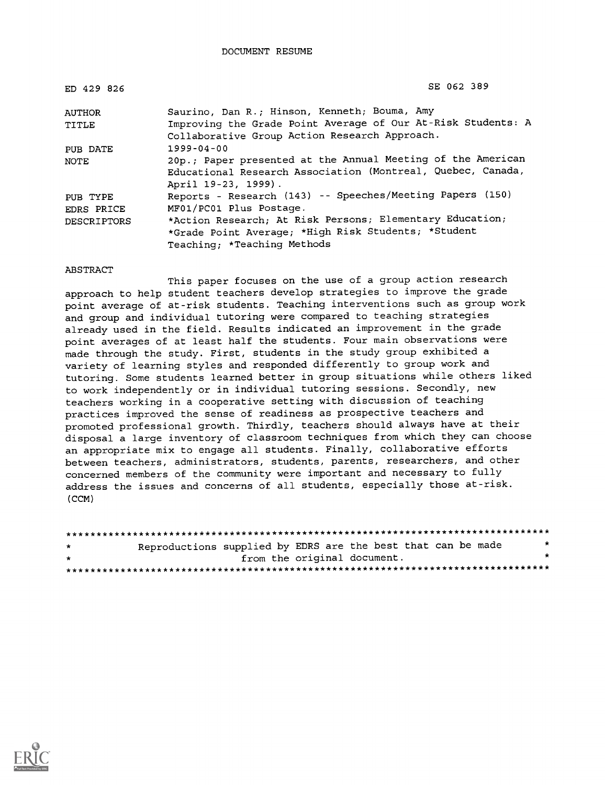| ED 429 826         | SE 062 389                                                   |  |  |  |  |
|--------------------|--------------------------------------------------------------|--|--|--|--|
| AUTHOR             | Saurino, Dan R.; Hinson, Kenneth; Bouma, Amy                 |  |  |  |  |
| TITLE              | Improving the Grade Point Average of Our At-Risk Students: A |  |  |  |  |
|                    | Collaborative Group Action Research Approach.                |  |  |  |  |
| PUB DATE           | $1999 - 04 - 00$                                             |  |  |  |  |
| NOTE               | 20p.; Paper presented at the Annual Meeting of the American  |  |  |  |  |
|                    | Educational Research Association (Montreal, Quebec, Canada,  |  |  |  |  |
|                    | April 19-23, 1999).                                          |  |  |  |  |
| PUB TYPE           | Reports - Research (143) -- Speeches/Meeting Papers (150)    |  |  |  |  |
| EDRS PRICE         | MF01/PC01 Plus Postage.                                      |  |  |  |  |
| <b>DESCRIPTORS</b> | *Action Research; At Risk Persons; Elementary Education;     |  |  |  |  |
|                    | *Grade Point Average; *High Risk Students; *Student          |  |  |  |  |
|                    | Teaching; *Teaching Methods                                  |  |  |  |  |

#### ABSTRACT

This paper focuses on the use of a group action research approach to help student teachers develop strategies to improve the grade point average of at-risk students. Teaching interventions such as group work and group and individual tutoring were compared to teaching strategies already used in the field. Results indicated an improvement in the grade point averages of at least half the students. Four main observations were made through the study. First, students in the study group exhibited a variety of learning styles and responded differently to group work and tutoring. Some students learned better in group situations while others liked to work independently or in individual tutoring sessions. Secondly, new teachers working in a cooperative setting with discussion of teaching practices improved the sense of readiness as prospective teachers and promoted professional growth. Thirdly, teachers should always have at their disposal a large inventory of classroom techniques from which they can choose an appropriate mix to engage all students. Finally, collaborative efforts between teachers, administrators, students, parents, researchers, and other concerned members of the community were important and necessary to fully address the issues and concerns of all students, especially those at-risk. (CCM)

| $\star$ | Reproductions supplied by EDRS are the best that can be made |                             |  |  |  | $\star$ |
|---------|--------------------------------------------------------------|-----------------------------|--|--|--|---------|
| $\star$ |                                                              | from the original document. |  |  |  | *       |
|         |                                                              |                             |  |  |  |         |

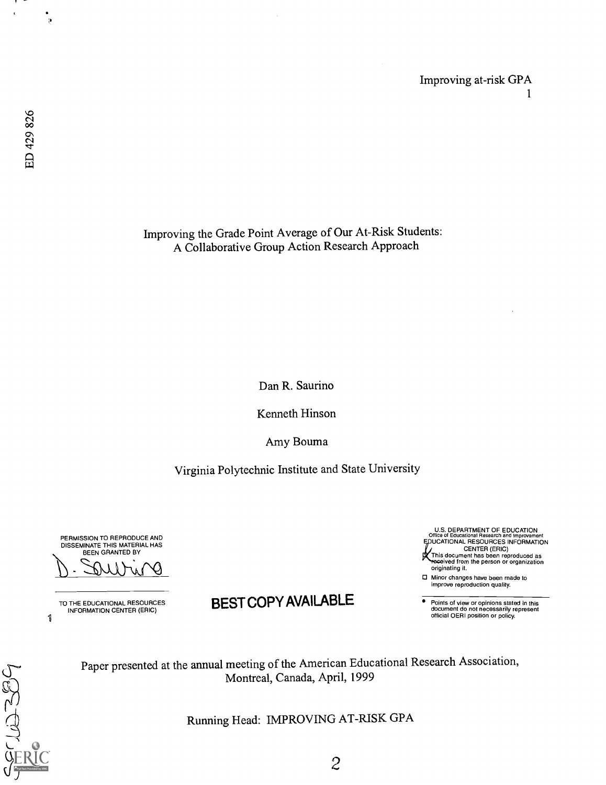$\epsilon$ 

 $\theta$ 

Improving the Grade Point Average of Our At-Risk Students: A Collaborative Group Action Research Approach

Dan R. Saurino

Kenneth Hinson

Amy Bouma

Virginia Polytechnic Institute and State University

PERMISSION TO REPRODUCE AND DISSEMINATE THIS MATERIAL HAS BEEN GRANTED BY

 $\mathbf{1}$ TO THE EDUCATIONAL RESOURCES INFORMATION CENTER (ERIC)

PBCLUZZ89

# BEST COPY AVAILABLE

U S. DEPARTMENT OF EDUCATION Offide of Educational Research and Improvement EDUCATIONAL RESOURCES INFORMATION CENTER (ERIC) his document has been reproduced as ived from the person or organization originating it.

0 Minor changes have been made to improve reproduction quality.

Points of view or opinions stated in this document do not necessarily represent official OERI position or policy.



Running Head: IMPROVING AT-RISK GPA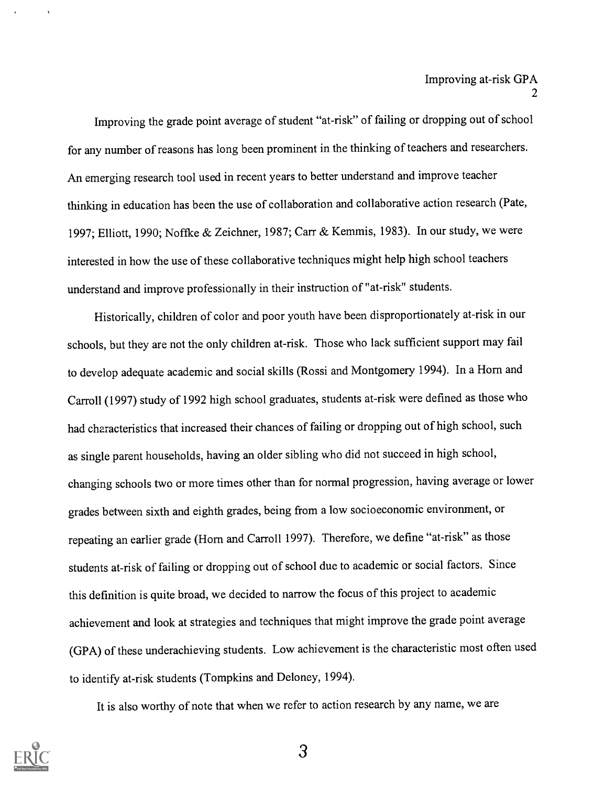Improving the grade point average of student "at-risk" of failing or dropping out of school for any number of reasons has long been prominent in the thinking of teachers and researchers. An emerging research tool used in recent years to better understand and improve teacher thinking in education has been the use of collaboration and collaborative action research (Pate, 1997; Elliott, 1990; Noffke & Zeichner, 1987; Carr & Kemmis, 1983). In our study, we were interested in how the use of these collaborative techniques might help high school teachers understand and improve professionally in their instruction of "at-risk" students.

Historically, children of color and poor youth have been disproportionately at-risk in our schools, but they are not the only children at-risk. Those who lack sufficient support may fail to develop adequate academic and social skills (Rossi and Montgomery 1994). In a Horn and Carroll (1997) study of 1992 high school graduates, students at-risk were defined as those who had characteristics that increased their chances of failing or dropping out of high school, such as single parent households, having an older sibling who did not succeed in high school, changing schools two or more times other than for normal progression, having average or lower grades between sixth and eighth grades, being from a low socioeconomic environment, or repeating an earlier grade (Horn and Carroll 1997). Therefore, we define "at-risk" as those students at-risk of failing or dropping out of school due to academic or social factors. Since this definition is quite broad, we decided to narrow the focus of this project to academic achievement and look at strategies and techniques that might improve the grade point average (GPA) of these underachieving students. Low achievement is the characteristic most often used to identify at-risk students (Tompkins and Deloney, 1994).

It is also worthy of note that when we refer to action research by any name, we are

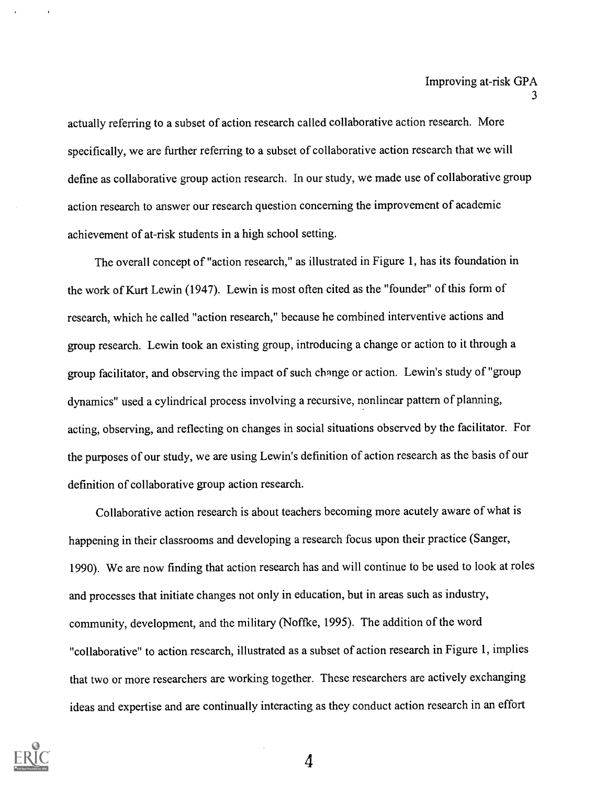actually referring to a subset of action research called collaborative action research. More specifically, we are further referring to a subset of collaborative action research that we will define as collaborative group action research. In our study, we made use of collaborative group action research to answer our research question concerning the improvement of academic achievement of at-risk students in a high school setting.

The overall concept of "action research," as illustrated in Figure 1, has its foundation in the work of Kurt Lewin (1947). Lewin is most often cited as the "founder" of this form of research, which he called "action research," because he combined interventive actions and group research. Lewin took an existing group, introducing a change or action to it through a group facilitator, and observing the impact of such change or action. Lewin's study of "group dynamics" used a cylindrical process involving a recursive, nonlinear pattern of planning, acting, observing, and reflecting on changes in social situations observed by the facilitator. For the purposes of our study, we are using Lewin's definition of action research as the basis of our definition of collaborative group action research.

Collaborative action research is about teachers becoming more acutely aware of what is happening in their classrooms and developing a research focus upon their practice (Sanger, 1990). We are now finding that action research has and will continue to be used to look at roles and processes that initiate changes not only in education, but in areas such as industry, community, development, and the military (Noffke, 1995). The addition of the word "collaborative" to action research, illustrated as a subset of action research in Figure 1, implies that two or more researchers are working together. These researchers are actively exchanging ideas and expertise and are continually interacting as they conduct action research in an effort

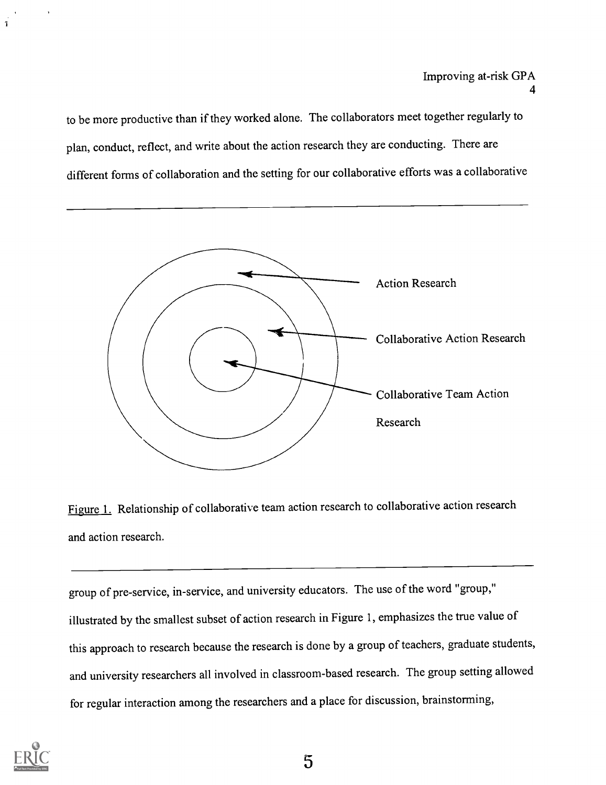to be more productive than if they worked alone. The collaborators meet together regularly to plan, conduct, reflect, and write about the action research they are conducting. There are different forms of collaboration and the setting for our collaborative efforts was a collaborative



Figure 1. Relationship of collaborative team action research to collaborative action research and action research.

group of pre-service, in-service, and university educators. The use of the word "group," illustrated by the smallest subset of action research in Figure 1, emphasizes the true value of this approach to research because the research is done by a group of teachers, graduate students, and university researchers all involved in classroom-based research. The group setting allowed for regular interaction among the researchers and a place for discussion, brainstorming,

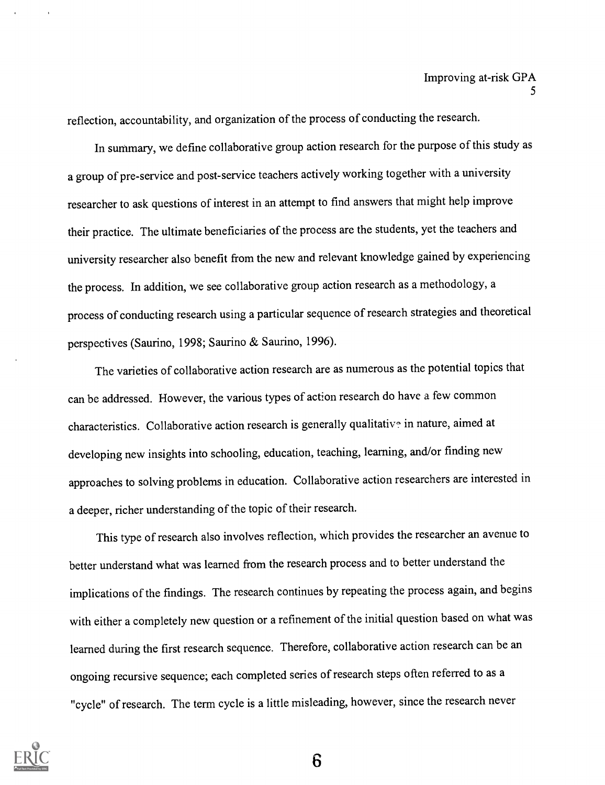reflection, accountability, and organization of the process of conducting the research.

In summary, we define collaborative group action research for the purpose of this study as a group of pre-service and post-service teachers actively working together with a university researcher to ask questions of interest in an attempt to find answers that might help improve their practice. The ultimate beneficiaries of the process are the students, yet the teachers and university researcher also benefit from the new and relevant knowledge gained by experiencing the process. In addition, we see collaborative group action research as a methodology, a process of conducting research using a particular sequence of research strategies and theoretical perspectives (Saurino, 1998; Saurino & Saurino, 1996).

The varieties of collaborative action research are as numerous as the potential topics that can be addressed. However, the various types of action research do have a few common characteristics. Collaborative action research is generally qualitative in nature, aimed at developing new insights into schooling, education, teaching, learning, and/or finding new approaches to solving problems in education. Collaborative action researchers are interested in a deeper, richer understanding of the topic of their research.

This type of research also involves reflection, which provides the researcher an avenue to better understand what was learned from the research process and to better understand the implications of the findings. The research continues by repeating the process again, and begins with either a completely new question or a refinement of the initial question based on what was learned during the first research sequence. Therefore, collaborative action research can be an ongoing recursive sequence; each completed series of research steps often referred to as a "cycle" of research. The term cycle is a little misleading, however, since the research never

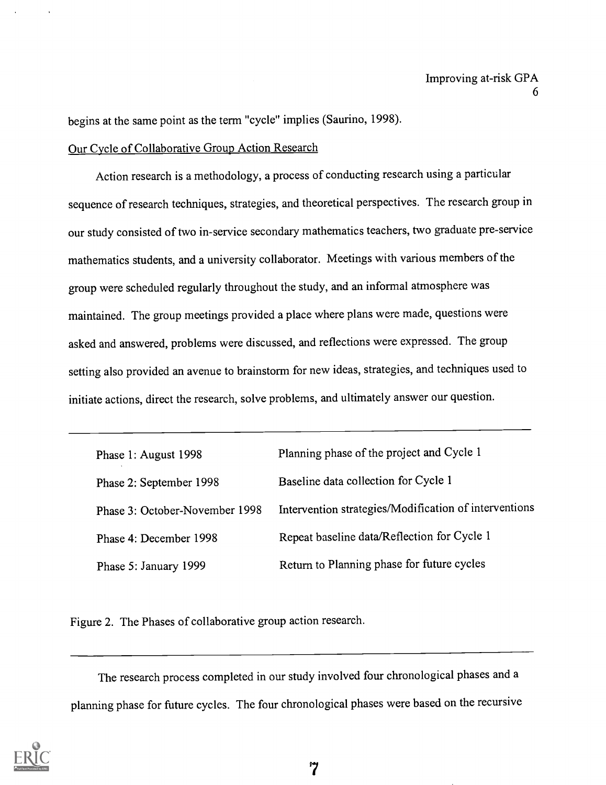begins at the same point as the term "cycle" implies (Saurino, 1998).

### Our Cycle of Collaborative Group Action Research

Action research is a methodology, a process of conducting research using a particular sequence of research techniques, strategies, and theoretical perspectives. The research group in our study consisted of two in-service secondary mathematics teachers, two graduate pre-service mathematics students, and a university collaborator. Meetings with various members of the group were scheduled regularly throughout the study, and an informal atmosphere was maintained. The group meetings provided a place where plans were made, questions were asked and answered, problems were discussed, and reflections were expressed. The group setting also provided an avenue to brainstorm for new ideas, strategies, and techniques used to initiate actions, direct the research, solve problems, and ultimately answer our question.

| Phase 1: August 1998           | Planning phase of the project and Cycle 1             |
|--------------------------------|-------------------------------------------------------|
| Phase 2: September 1998        | Baseline data collection for Cycle 1                  |
| Phase 3: October-November 1998 | Intervention strategies/Modification of interventions |
| Phase 4: December 1998         | Repeat baseline data/Reflection for Cycle 1           |
| Phase 5: January 1999          | Return to Planning phase for future cycles            |

Figure 2. The Phases of collaborative group action research.

The research process completed in our study involved four chronological phases and a planning phase for future cycles. The four chronological phases were based on the recursive

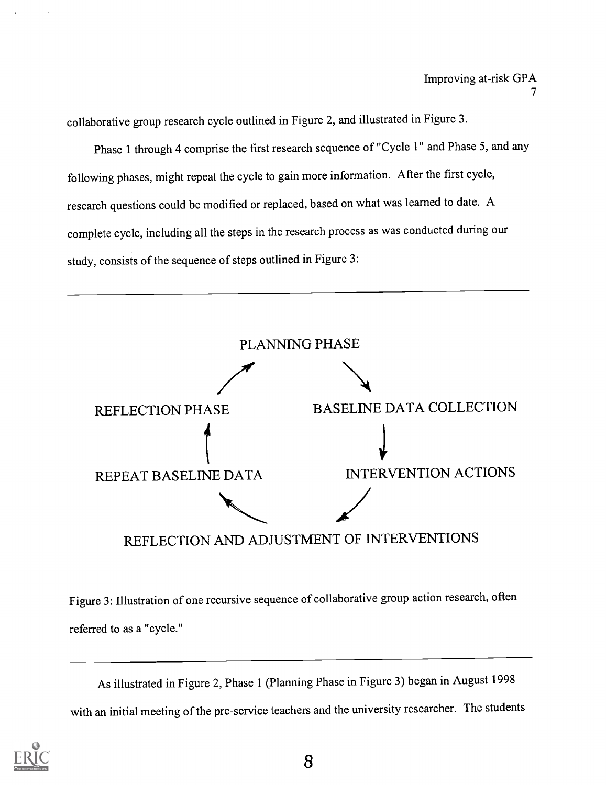collaborative group research cycle outlined in Figure 2, and illustrated in Figure 3.

Phase 1 through 4 comprise the first research sequence of "Cycle 1" and Phase 5, and any following phases, might repeat the cycle to gain more information. After the first cycle, research questions could be modified or replaced, based on what was learned to date. A complete cycle, including all the steps in the research process as was conducted during our study, consists of the sequence of steps outlined in Figure 3:



Figure 3: Illustration of one recursive sequence of collaborative group action research, often referred to as a "cycle."

As illustrated in Figure 2, Phase 1 (Planning Phase in Figure 3) began in August 1998 with an initial meeting of the pre-service teachers and the university researcher. The students

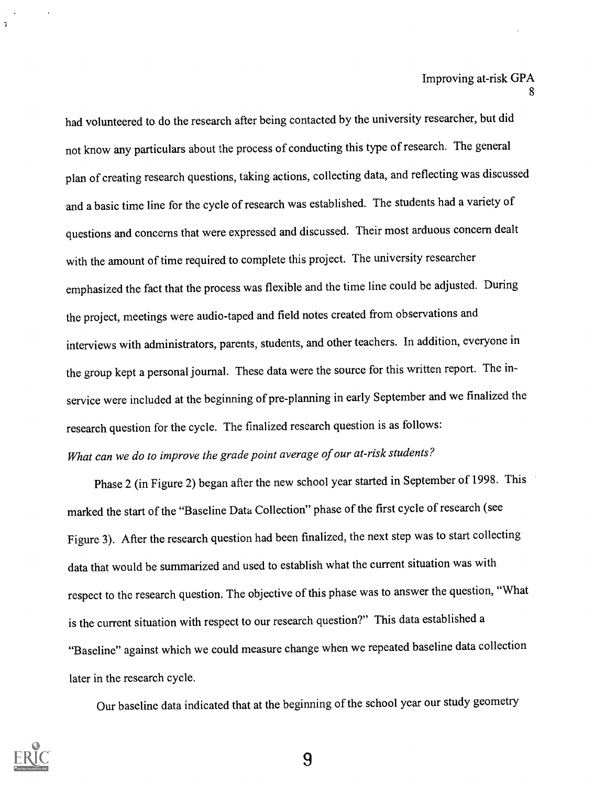had volunteered to do the research after being contacted by the university researcher, but did not know any particulars about the process of conducting this type of research. The general plan of creating research questions, taking actions, collecting data, and reflecting was discussed and a basic time line for the cycle of research was established. The students had a variety of questions and concerns that were expressed and discussed. Their most arduous concern dealt with the amount of time required to complete this project. The university researcher emphasized the fact that the process was flexible and the time line could be adjusted. During the project, meetings were audio-taped and field notes created from observations and interviews with administrators, parents, students, and other teachers. In addition, everyone in the group kept a personal journal. These data were the source for this written report. The inservice were included at the beginning of pre-planning in early September and we finalized the research question for the cycle. The finalized research question is as follows: What can we do to improve the grade point average of our at-risk students?

Phase 2 (in Figure 2) began after the new school year started in September of 1998. This marked the start of the "Baseline Data Collection" phase of the first cycle of research (see Figure 3). After the research question had been finalized, the next step was to start collecting data that would be summarized and used to establish what the current situation was with respect to the research question. The objective of this phase was to answer the question, "What is the current situation with respect to our research question?" This data established a "Baseline" against which we could measure change when we repeated baseline data collection later in the research cycle.

Our baseline data indicated that at the beginning of the school year our study geometry



 $\gamma$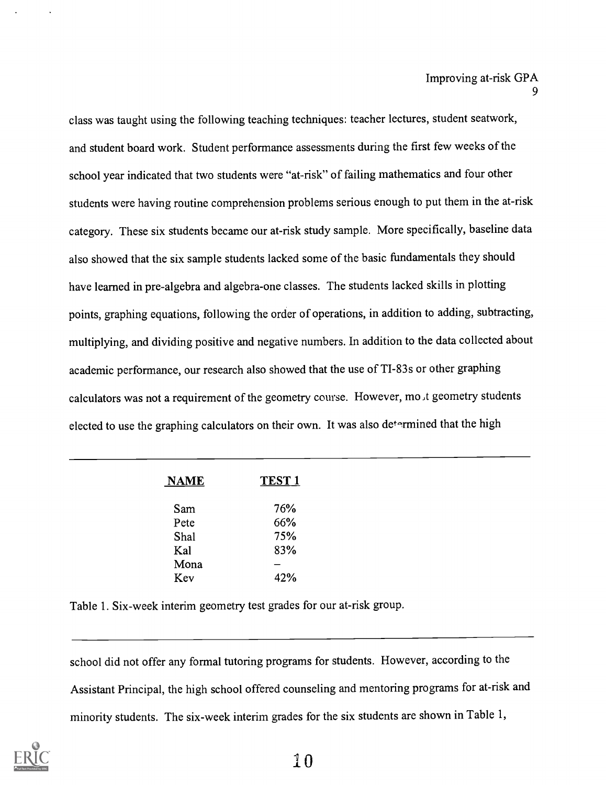class was taught using the following teaching techniques: teacher lectures, student seatwork, and student board work. Student performance assessments during the first few weeks of the school year indicated that two students were "at-risk" of failing mathematics and four other students were having routine comprehension problems serious enough to put them in the at-risk category. These six students became our at-risk study sample. More specifically, baseline data also showed that the six sample students lacked some of the basic fundamentals they should have learned in pre-algebra and algebra-one classes. The students lacked skills in plotting points, graphing equations, following the order of operations, in addition to adding, subtracting, multiplying, and dividing positive and negative numbers. In addition to the data collected about academic performance, our research also showed that the use of TI-83s or other graphing calculators was not a requirement of the geometry course. However, mo.t geometry students elected to use the graphing calculators on their own. It was also determined that the high

| <b>NAME</b> | <b>TEST 1</b> |  |
|-------------|---------------|--|
| Sam         | 76%           |  |
| Pete        | 66%           |  |
| Shal        | 75%           |  |
| Kal         | 83%           |  |
| Mona        |               |  |
| Kev         | 42%           |  |

Table 1. Six-week interim geometry test grades for our at-risk group.

school did not offer any formal tutoring programs for students. However, according to the Assistant Principal, the high school offered counseling and mentoring programs for at-risk and minority students. The six-week interim grades for the six students are shown in Table 1,

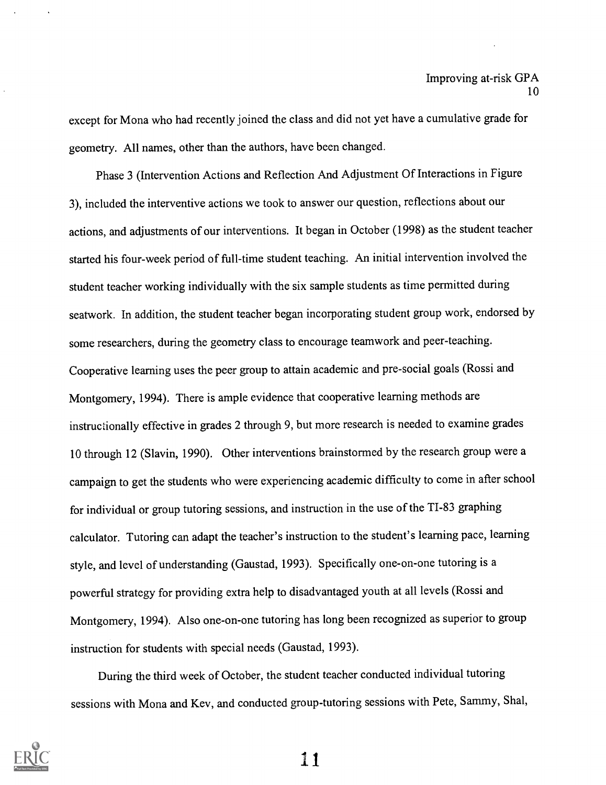except for Mona who had recently joined the class and did not yet have a cumulative grade for geometry. All names, other than the authors, have been changed.

Phase 3 (Intervention Actions and Reflection And Adjustment Of Interactions in Figure 3), included the interventive actions we took to answer our question, reflections about our actions, and adjustments of our interventions. It began in October (1998) as the student teacher started his four-week period of full-time student teaching. An initial intervention involved the student teacher working individually with the six sample students as time permitted during seatwork. In addition, the student teacher began incorporating student group work, endorsed by some researchers, during the geometry class to encourage teamwork and peer-teaching. Cooperative learning uses the peer group to attain academic and pre-social goals (Rossi and Montgomery, 1994). There is ample evidence that cooperative learning methods are instructionally effective in grades 2 through 9, but more research is needed to examine grades 10 through 12 (Slavin, 1990). Other interventions brainstormed by the research group were a campaign to get the students who were experiencing academic difficulty to come in after school for individual or group tutoring sessions, and instruction in the use of the TI-83 graphing calculator. Tutoring can adapt the teacher's instruction to the student's learning pace, learning style, and level of understanding (Gaustad, 1993). Specifically one-on-one tutoring is a powerful strategy for providing extra help to disadvantaged youth at all levels (Rossi and Montgomery, 1994). Also one-on-one tutoring has long been recognized as superior to group instruction for students with special needs (Gaustad, 1993).

During the third week of October, the student teacher conducted individual tutoring sessions with Mona and Key, and conducted group-tutoring sessions with Pete, Sammy, Shal,

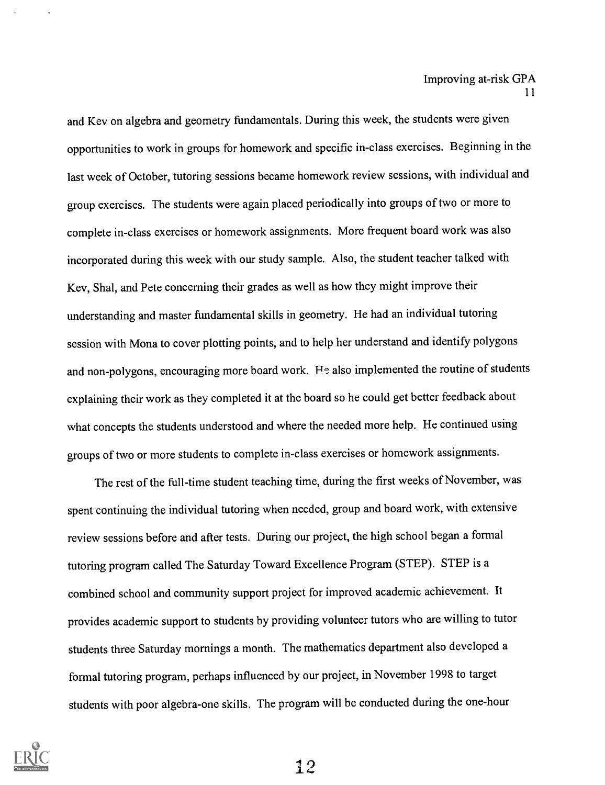and Key on algebra and geometry fundamentals. During this week, the students were given opportunities to work in groups for homework and specific in-class exercises. Beginning inthe last week of October, tutoring sessions became homework review sessions, with individual and group exercises. The students were again placed periodically into groups of two or more to complete in-class exercises or homework assignments. More frequent board work was also incorporated during this week with our study sample. Also, the student teacher talked with Key, Shal, and Pete concerning their grades as well as how they might improve their understanding and master fundamental skills in geometry. He had an individual tutoring session with Mona to cover plotting points, and to help her understand and identify polygons and non-polygons, encouraging more board work. He also implemented the routine of students explaining their work as they completed it at the board so he could get better feedback about what concepts the students understood and where the needed more help. He continued using groups of two or more students to complete in-class exercises or homework assignments.

The rest of the full-time student teaching time, during the first weeks of November, was spent continuing the individual tutoring when needed, group and board work, with extensive review sessions before and after tests. During our project, the high school began a formal tutoring program called The Saturday Toward Excellence Program (STEP). STEP is a combined school and community support project for improved academic achievement. It provides academic support to students by providing volunteer tutors who are willing to tutor students three Saturday mornings a month. The mathematics department also developed a formal tutoring program, perhaps influenced by our project, in November 1998 to target students with poor algebra-one skills. The program will be conducted during the one-hour

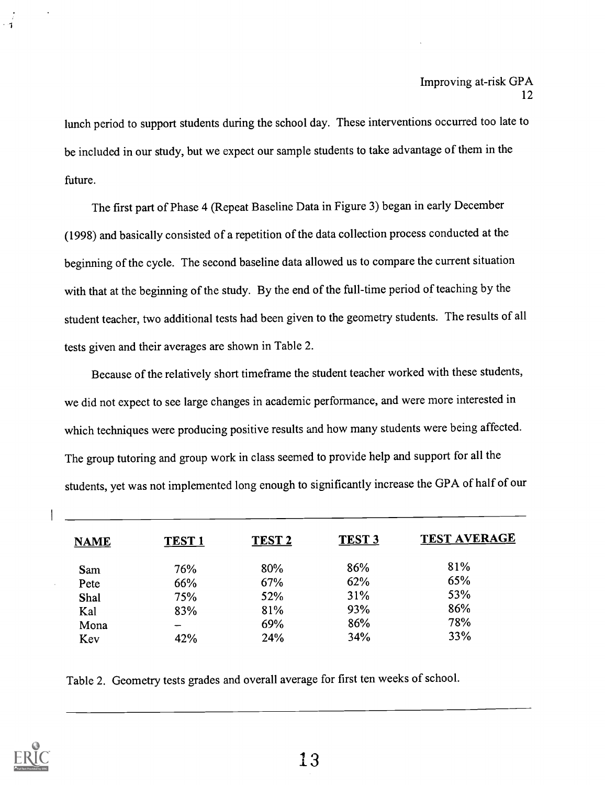lunch period to support students during the school day. These interventions occurred too late to be included in our study, but we expect our sample students to take advantage of them in the future.

The first part of Phase 4 (Repeat Baseline Data in Figure 3) began in early December (1998) and basically consisted of a repetition of the data collection process conducted at the beginning of the cycle. The second baseline data allowed us to compare the current situation with that at the beginning of the study. By the end of the full-time period of teaching by the student teacher, two additional tests had been given to the geometry students. The results of all tests given and their averages are shown in Table 2.

Because of the relatively short timeframe the student teacher worked with these students, we did not expect to see large changes in academic performance, and were more interested in which techniques were producing positive results and how many students were being affected. The group tutoring and group work in class seemed to provide help and support for all the students, yet was not implemented long enough to significantly increase the GPA of half of our

| <b>NAME</b> | TEST <sub>1</sub> | TEST <sub>2</sub> | <b>TEST 3</b> | <b>TEST AVERAGE</b> |
|-------------|-------------------|-------------------|---------------|---------------------|
| Sam         | 76%               | 80%               | 86%           | 81%                 |
| Pete        | 66%               | 67%               | 62%           | 65%                 |
| Shal        | 75%               | 52%               | 31%           | 53%                 |
| Kal         | 83%               | 81%               | 93%           | 86%                 |
| Mona        |                   | 69%               | 86%           | 78%                 |
| Kev         | 42%               | 24%               | 34%           | 33%                 |

Table 2. Geometry tests grades and overall average for first ten weeks of school.

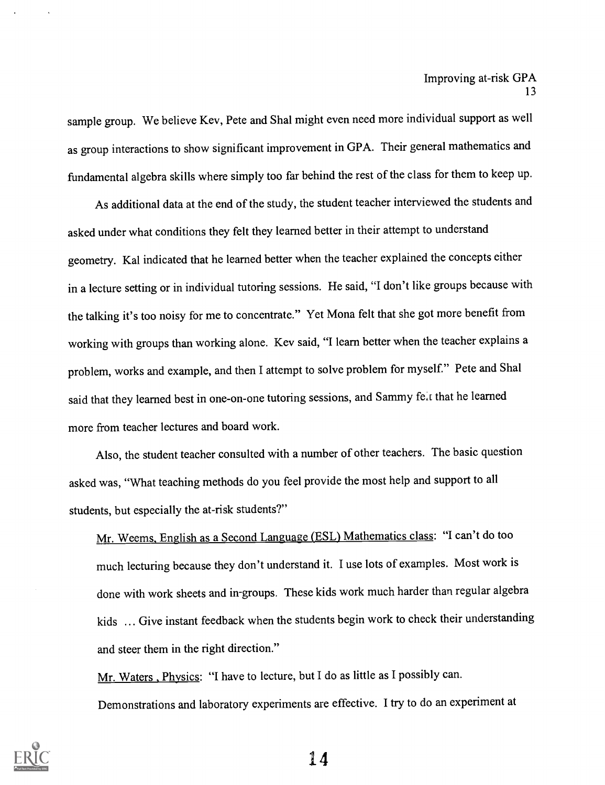sample group. We believe Key, Pete and Shal might even need more individual support as well as group interactions to show significant improvement in GPA. Their general mathematics and fundamental algebra skills where simply too far behind the rest of the class forthem to keep up.

As additional data at the end of the study, the student teacher interviewed the students and asked under what conditions they felt they learned better in their attempt to understand geometry. Kal indicated that he learned better when the teacher explained the concepts either in a lecture setting or in individual tutoring sessions. He said, "I don't like groups because with the talking it's too noisy for me to concentrate." Yet Mona felt that she got more benefit from working with groups than working alone. Kev said, "I learn better when the teacher explains a problem, works and example, and then I attempt to solve problem for myself." Pete and Shal said that they learned best in one-on-one tutoring sessions, and Sammy fe,t that he learned more from teacher lectures and board work.

Also, the student teacher consulted with a number of other teachers. The basic question asked was, "What teaching methods do you feel provide the most help and support to all students, but especially the at-risk students?"

Mr. Weems, English as a Second Language (ESL) Mathematics class: "I can't do too much lecturing because they don't understand it. I use lots of examples. Most work is done with work sheets and in-groups. These kids work much harder than regular algebra kids ... Give instant feedback when the students begin work to check their understanding and steer them in the right direction."

Mr. Waters, Physics: "I have to lecture, but I do as little as I possibly can. Demonstrations and laboratory experiments are effective. I try to do an experiment at

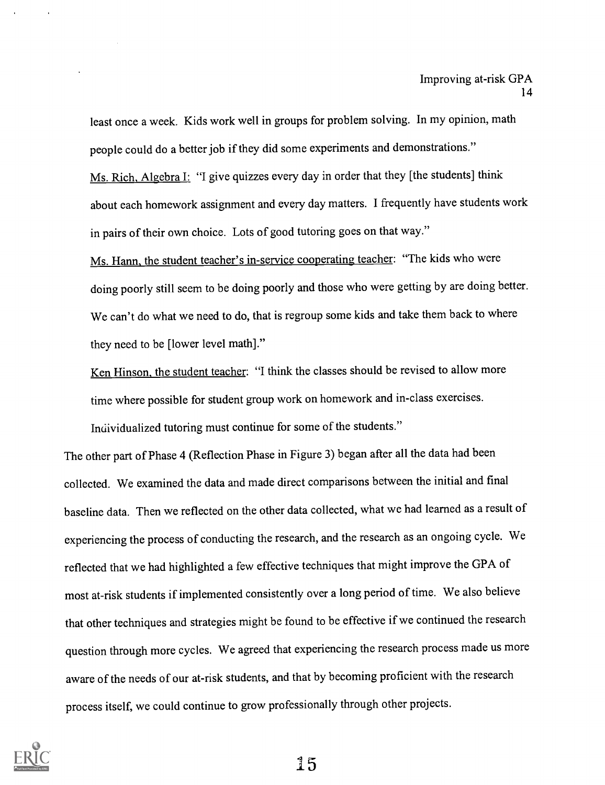least once a week. Kids work well in groups for problem solving. In my opinion, math people could do a better job if they did some experiments and demonstrations." Ms. Rich, Algebra I: "I give quizzes every day in order that they [the students] think about each homework assignment and every day matters. I frequently have students work in pairs of their own choice. Lots of good tutoring goes on that way."

Ms. Hann, the student teacher's in-service cooperating teacher: "The kids who were doing poorly still seem to be doing poorly and those who were getting by are doing better. We can't do what we need to do, that is regroup some kids and take them back to where they need to be [lower level math]."

Ken Hinson, the student teacher: "I think the classes should be revised to allow more time where possible for student group work on homework and in-class exercises. Individualized tutoring must continue for some of the students."

The other part of Phase 4 (Reflection Phase in Figure 3) began after all the data had been collected. We examined the data and made direct comparisons between the initial and final baseline data. Then we reflected on the other data collected, what we had learned as a result of experiencing the process of conducting the research, and the research as an ongoing cycle. We reflected that we had highlighted a few effective techniques that might improve the GPA of most at-risk students if implemented consistently over a long period of time. We also believe that other techniques and strategies might be found to be effective if we continued the research question through more cycles. We agreed that experiencing the research process made us more aware of the needs of our at-risk students, and that by becoming proficient with the research process itself, we could continue to grow professionally through other projects.

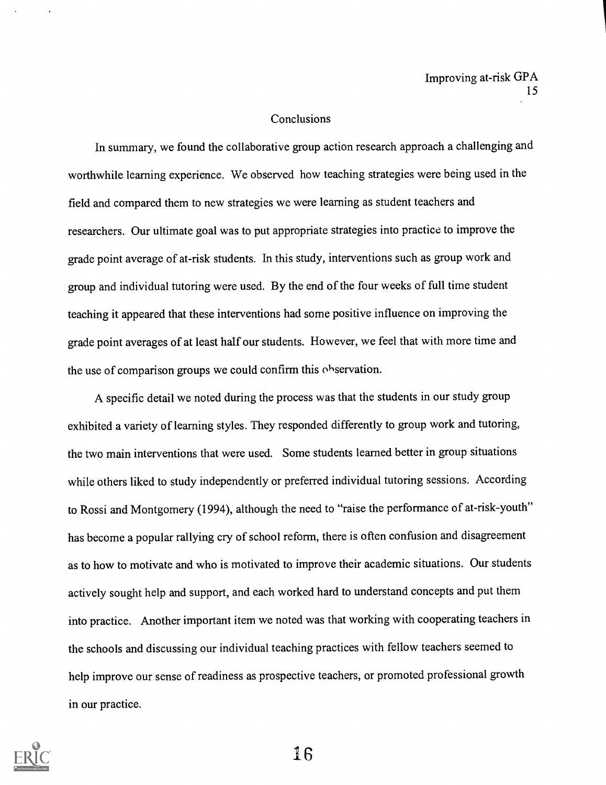#### Conclusions

In summary, we found the collaborative group action research approach a challenging and worthwhile learning experience. We observed how teaching strategies were being used in the field and compared them to new strategies we were learning as student teachers and researchers. Our ultimate goal was to put appropriate strategies into practice to improve the grade point average of at-risk students. In this study, interventions such as group work and group and individual tutoring were used. By the end of the four weeks of full time student teaching it appeared that these interventions had some positive influence on improving the grade point averages of at least half our students. However, we feel that with more time and the use of comparison groups we could confirm this observation.

A specific detail we noted during the process was that the students in our study group exhibited a variety of learning styles. They responded differently to group work and tutoring, the two main interventions that were used. Some students learned better in group situations while others liked to study independently or preferred individual tutoring sessions. According to Rossi and Montgomery (1994), although the need to "raise the performance of at-risk-youth" has become a popular rallying cry of school reform, there is often confusion and disagreement as to how to motivate and who is motivated to improve their academic situations. Our students actively sought help and support, and each worked hard to understand concepts and put them into practice. Another important item we noted was that working with cooperating teachers in the schools and discussing our individual teaching practices with fellow teachers seemed to help improve our sense of readiness as prospective teachers, or promoted professional growth in our practice.

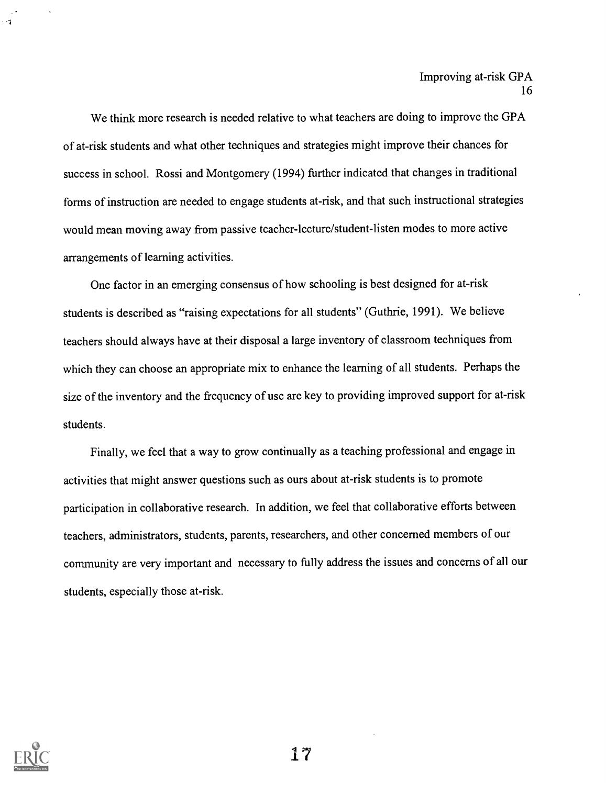We think more research is needed relative to what teachers are doing to improve the GPA of at-risk students and what other techniques and strategies might improve their chances for success in school. Rossi and Montgomery (1994) further indicated that changes in traditional forms of instruction are needed to engage students at-risk, and that such instructional strategies would mean moving away from passive teacher-lecture/student-listen modes to more active arrangements of learning activities.

One factor in an emerging consensus of how schooling is best designed for at-risk students is described as "raising expectations for all students" (Guthrie, 1991). We believe teachers should always have at their disposal a large inventory of classroom techniques from which they can choose an appropriate mix to enhance the learning of all students. Perhaps the size of the inventory and the frequency of use are key to providing improved support for at-risk students.

Finally, we feel that a way to grow continually as a teaching professional and engage in activities that might answer questions such as ours about at-risk students is to promote participation in collaborative research. In addition, we feel that collaborative efforts between teachers, administrators, students, parents, researchers, and other concerned members of our community are very important and necessary to fully address the issues and concerns of all our students, especially those at-risk.



 $1 - 1$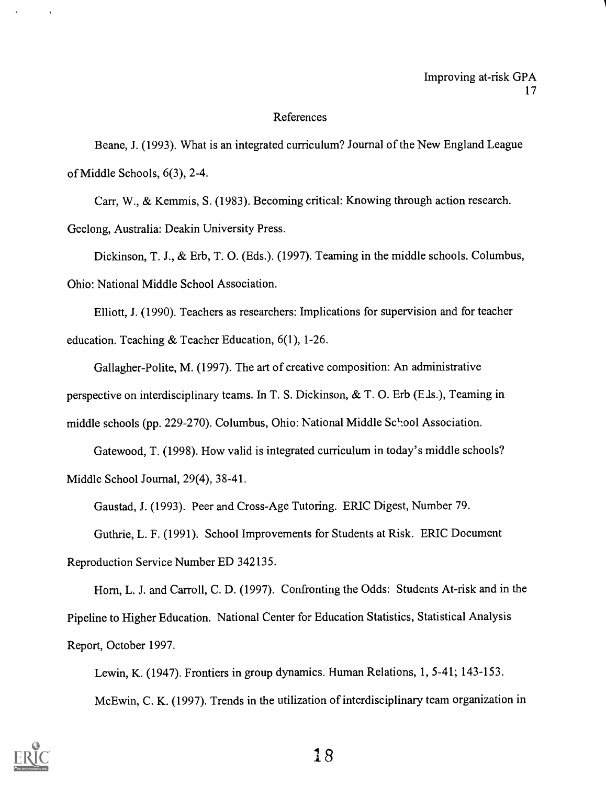#### References

Beane, J. (1993). What is an integrated curriculum? Journal of the New England League of Middle Schools, 6(3), 2-4.

Carr, W., & Kemmis, S. (1983). Becoming critical: Knowing through action research. Geelong, Australia: Deakin University Press.

Dickinson, T. J., & Erb, T. 0. (Eds.). (1997). Teaming in the middle schools. Columbus, Ohio: National Middle School Association.

Elliott, J. (1990). Teachers as researchers: Implications for supervision and for teacher education. Teaching & Teacher Education, 6(1), 1-26.

Gallagher-Polite, M. (1997). The art of creative composition: An administrative perspective on interdisciplinary teams. In T. S. Dickinson, & T. 0. Erb (E ds.), Teaming in middle schools (pp. 229-270). Columbus, Ohio: National Middle School Association.

Gatewood, T. (1998). How valid is integrated curriculum in today's middle schools? Middle School Journal, 29(4), 38-41.

Gaustad, J. (1993). Peer and Cross-Age Tutoring. ERIC Digest, Number 79.

Guthrie, L. F. (1991). School Improvements for Students at Risk. ERIC Document

Reproduction Service Number ED 342135.

Horn, L. J. and Carroll, C. D. (1997). Confronting the Odds: Students At-risk and in the Pipeline to Higher Education. National Center for Education Statistics, Statistical Analysis Report, October 1997.

Lewin, K. (1947). Frontiers in group dynamics. Human Relations, 1, 5-41; 143-153. McEwin, C. K. (1997). Trends in the utilization of interdisciplinary team organization in

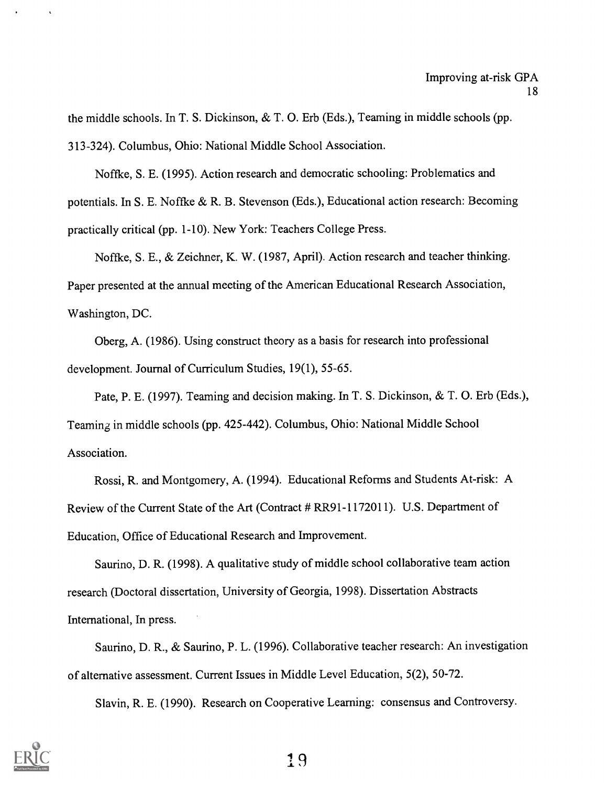the middle schools. In T. S. Dickinson, & T. 0. Erb (Eds.), Teaming in middle schools (pp. 313-324). Columbus, Ohio: National Middle School Association.

Noffke, S. E. (1995). Action research and democratic schooling: Problematics and potentials. In S. E. Noffke & R. B. Stevenson (Eds.), Educational action research: Becoming practically critical (pp. 1-10). New York: Teachers College Press.

Noftke, S. E., & Zeichner, K. W. (1987, April). Action research and teacher thinking. Paper presented at the annual meeting of the American Educational Research Association, Washington, DC.

Oberg, A. (1986). Using construct theory as a basis for research into professional development. Journal of Curriculum Studies, 19(1), 55-65.

Pate, P. E. (1997). Teaming and decision making. In T. S. Dickinson, & T. 0. Erb (Eds.), Teaming in middle schools (pp. 425-442). Columbus, Ohio: National Middle School Association.

Rossi, R. and Montgomery, A. (1994). Educational Reforms and Students At-risk: A Review of the Current State of the Art (Contract # RR91-1172011). U.S. Department of Education, Office of Educational Research and Improvement.

Saurino, D. R. (1998). A qualitative study of middle school collaborative team action research (Doctoral dissertation, University of Georgia, 1998). Dissertation Abstracts International, In press.

Saurino, D. R., & Saurino, P. L. (1996). Collaborative teacher research: An investigation of alternative assessment. Current Issues in Middle Level Education, 5(2), 50-72.

Slavin, R. E. (1990). Research on Cooperative Learning: consensus and Controversy.

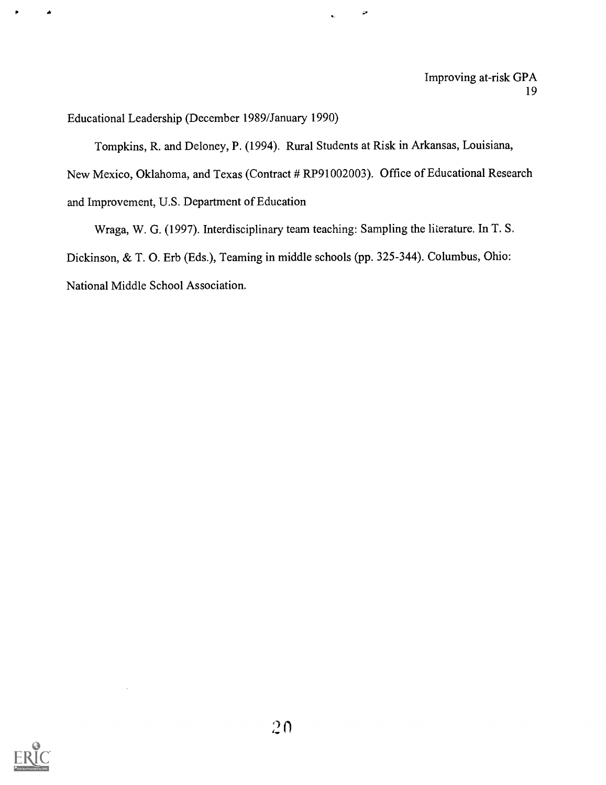Educational Leadership (December 1989/January 1990)

Tompkins, R. and Deloney, P. (1994). Rural Students at Risk in Arkansas, Louisiana, New Mexico, Oklahoma, and Texas (Contract # RP91002003). Office of Educational Research and Improvement, U.S. Department of Education

 $\overline{\phantom{a}}$ 

Wraga, W. G. (1997). Interdisciplinary team teaching: Sampling the literature. In T. S. Dickinson, & T. 0. Erb (Eds.), Teaming in middle schools (pp. 325-344). Columbus, Ohio: National Middle School Association.

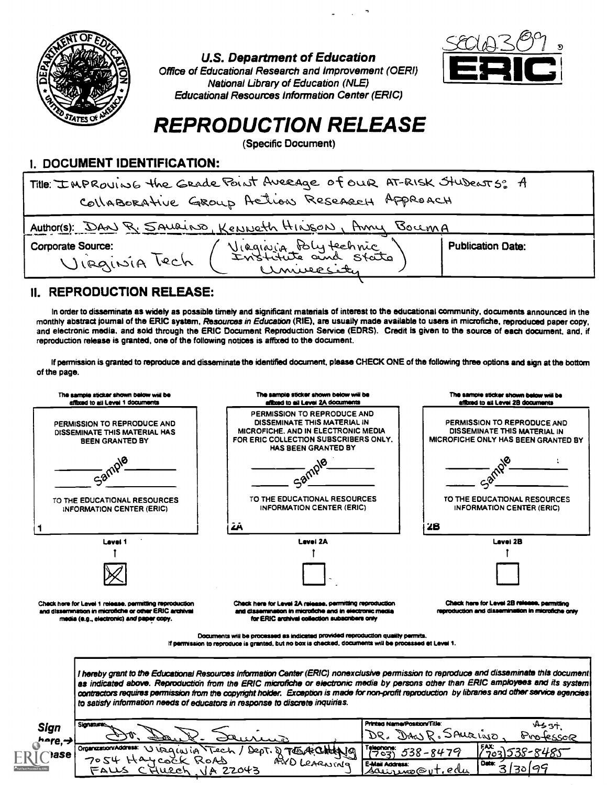

U.S. Department of Education

Office of Educational Research and Improvement (OERI) National Library of Education (NLE) Educational Resources Information Center (ERIC)



# REPRODUCTION RELEASE

(Specific Document)

# I. DOCUMENT IDENTIFICATION:

| Title: IMPROVING the GRAde Point Average of our AT-RISK Students: A<br>CollaBORAtive GROUP Action Research Approach |                          |  |  |
|---------------------------------------------------------------------------------------------------------------------|--------------------------|--|--|
| Author(s): DAN R. SAURINO, KENNETH HINSON, AMY BOCCMA                                                               |                          |  |  |
| Viaginia Polytechnic<br>Corporate Source:<br>VIRGINIA Tech<br>University                                            | <b>Publication Date:</b> |  |  |

## II. REPRODUCTION RELEASE:

In order to disseminate as widely as possible timely and significant materials of interest to the educational community, documents announced in the monthly abstract journal of the ERIC system, Resources in Education (RIE), are usually made available to users in microfiche, reproduced paper copy, and electronic media, and sold through the ERIC Document Reproduction Service (EDRS). Credit Is given to the source of each document, and, if reproduction release is granted, one of the following notices is affixed to the document.

If permission is granted to reproduce and disseminate the identified document, please CHECK ONE of the following three options and sign at the bottom of the page.